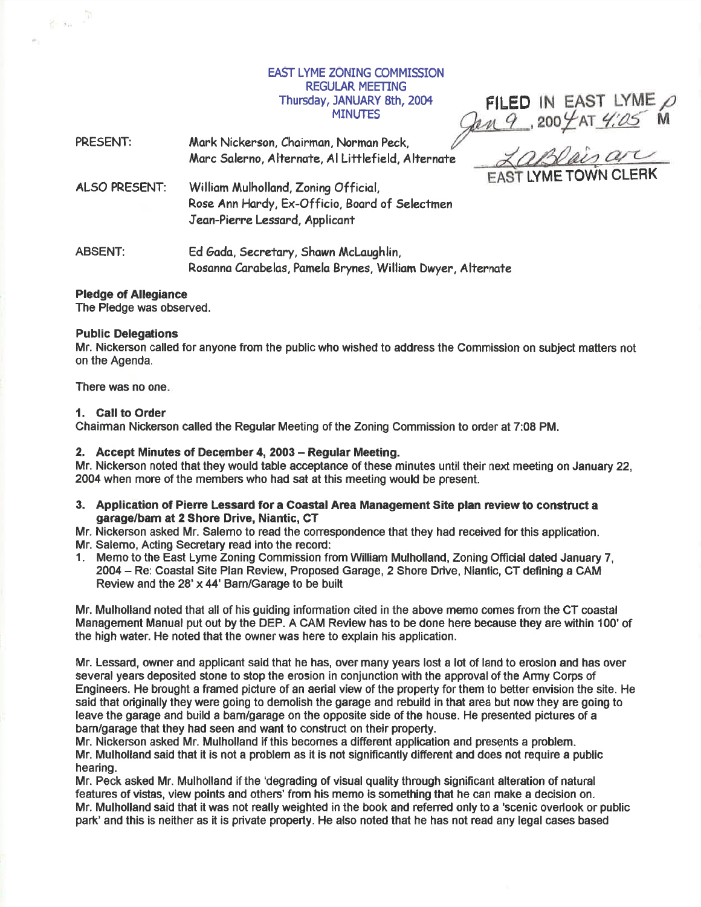EAST LYME ZONING COMMISSION **REGULAR MEETING** Thursday, JANUARY 8th, 2004 **MINUTES** 

IN EAST LYME  $\rho$ FILED IN EAST LYME

PRESENT: Mark Nickerson, Chairman, Norman Peck, LaBlaisar Marc Salerno, Alternate, Al Littlefield, Alternate **FAST LYME TOWN CLERK** ALSO PRESENT: William Mulholland, Zoning Official, Rose Ann Hardy, Ex-Officio, Board of Selectmen Jeon-Pierre Lessord, Applicont ABSENT: Ed Gada, Secretary, Shawn McLaughlin,

Rosanna Carabelas, Pamela Brynes, William Dwyer, Alternate

Pledge of Allegiance

 $\frac{1}{2} - x_0 = \frac{\sqrt{3}}{2}$ 

The Pledge was observed.

# Public Delegations

Mr. Nickerson called for anyone from the public who wished to address the Commission on subject matters not on the Agenda.

There was no one

#### 1. Gall to Order

Chairman Nickerson called the Regular Meeting of the Zoning Commission to order at 7:08 PM.

#### 2. Accept Minutes of December 4, 2003 - Regular Meeting.

Mr. Nickerson noted that they would table acceptance of these minutes until their next meeting on January 22, 2004 when more of the members who had sat at this meeting would be present.

- 3. Application of Piene Lessard for a Goastal Area Management Site plan review to construct <sup>a</sup> garage/barn at 2 Shore Drive, Niantic, CT
- Mr. Nickerson asked Mr. Salemo to read the correspondence that they had received for this application.
- Mr. Salemo, Acting Secretary read into the record:
- 1. Memo to the East Lyme Zoning Commission from William Mulholland, Zoning Official dated January 7, 2004 - Re: Coastal Site Plan Review, Proposed Garage, 2 Shore Drive, Niantic, CT defining a CAM Review and the 28'x44'Barn/Garage to be built

Mr. Mulholland noted that all of his guiding information cited in the above memo comes from the CT coastal Management Manual put out by the DEP. A CAM Review has to be done here because they are within 100' of the high water. He noted that the owner was here to explain his application.

Mr. Lessard, owner and applicant said that he has, over many years lost a lot of land to erosion and has over several years deposited stone to stop the erosion in conjunction with the approval of the Army Corps of Engineers. He brought a framed pidure of an aerial view of the property for them to better envision the site. He said that originally they were going to demolish the garage and rebuild in that area but now they are going to leave the garage and build a barn/garage on the opposite side of the house. He presented pictures of <sup>a</sup> bam/garage that they had seen and want to construct on their property.

Mr. Nickerson asked Mr. Mulholland if this becomes a different application and presgnts a problem. Mr. Mulholland said that it is not a problem as it is not significantly different and does not require a public hearing.

Mr. Peck asked Mr. Mulholland if the 'degrading of visual quality through significant alteration of natural features of vistas, view points and others' from his memo is something that he can make a decision on. Mr. Mulholland said that it was not really weighted in the book and refened only to a 'scenic overlook or public park' and this is neither as it is private property. He also noted that he has not read any legal cases based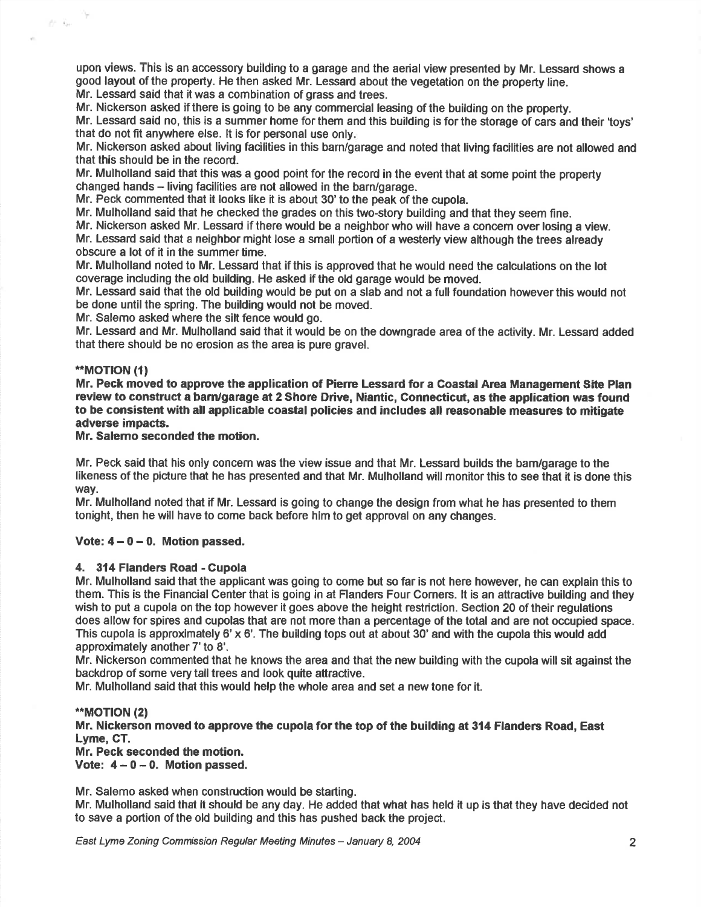upon views. This is an accessory building to a garage and the aerial view presented by Mr. Lessard shows <sup>a</sup> good layout of the property. He then asked Mr. Lessard about the vegetation on the property line. Mr. Lessard said that it was a combination of grass and trees.

Mr. Nickerson asked if there is going to be any commercial leasing of the building on the property.

Mr. Lessard said no, this is a summer home for them and this building is for the storage of cars and their 'toys' that do not fit anywhere else. lt is for personal use only.

Mr. Nickerson asked about living facilities in this barn/garage and noted that living facilities are not allowed and that this should be in the record.

Mr. Mulholland said that this was a good point for the record in the event that at some point the property changed hands – living facilities are not allowed in the barn/garage

Mr. Peck commented that it looks like it is about 30' to the peak of the cupola.

Mr. Mulholland said that he checked the grades on this two-story building and that they seem fine.

Mr. Nickerson asked Mr. Lessard if there would be a neighborwho will have a concem over losing a view. Mr. Lessard said that a neighbor might lose a small portion of a westerly view although the trees already obscure a lot of it in the summer time.

Mr. Mulholland noted to Mr. Lessard that if this is approved that he would need the calculations on the lot coverage including the old building. He asked if the old garage would be moved.

Mr. Lessard said that the old building would be put on a slab and not a full foundation however this would not be done until the spring. The building would not be moved.

Mr. Salemo asked where the silt fence would go.

Mr. Lessard and Mr. Mulholland said that it would be on the downgrade area of the activity. Mr. Lessad added that there should be no erosion as the area is pure gravel.

#### \*\*MOTION (1)

 $\tilde{U}^*$  .  $\tilde{V}_{\ell^+}$ 

Mr. Peck moved to approve the application of Pierre Lessard for a Coastal Area Management Site Plan review to construct a bam/garage at 2 Shore Drive, Niantic, Connecticut, as the application was found to be consistent with all applicable coastal policies and includes all reasonable measures to mitigate adverse impacts.

# Mr. Salemo seconded the motion.

Mr. Peck said that his only concem was the view issue and that Mr. Lessard builds the bam/garage to the likeness of the picture that he has presented and that Mr. Mulholland will monitor this to see that it is done this way.

Mr. Mulholland noted that if Mr. Lessard is going to change the design from what he has presented to them tonight, then he will have to come back before him to get approval on any changes.

# Vote:  $4 - 0 - 0$ . Motion passed.

# 4. 314 Flanders Road - Cupola

Mr. Mulholland said that the applicant was going to come but so far is not here however, he can explain this to them. This is the Financial Center that is going in at Flanders Four Comers. lt is an attractive building and they wish to put a cupola on the top however it goes above the height restriction. Section 20 of their regulations does allow for spires and cupolas that are not more than a percentage of the total and are not occupied space. This cupola is approximately 6'x 6'. The building tops out at about 30' and with the cupola this would add approximately another 7'to 8'.

Mr. Nickeson commented that he knows the area and that the new building with the cupola will sit against the backdrop of some very tall trees and look quite attractive.

Mr. Mulholland said that this would help the whole area and set a new tone for it.

# \*\*MOT!ON (2)

Mr. Nickerson moved to approve the cupola forthe top of the building at 314 Flanders Road, East Lyme, CT.

Mr. Peck seconded the motion.

Vote:  $4 - 0 - 0$ . Motion passed.

Mr. Salerno asked when construction would be starting.

Mr. Mulholland said that it should be any day. He added that what has held it up is that they have decided not to save a portion of the old building and this has pushed back the project.

East Lyme Zoning Commission Regular Meeting Minutes – January 8, 2004 2004 2014 2014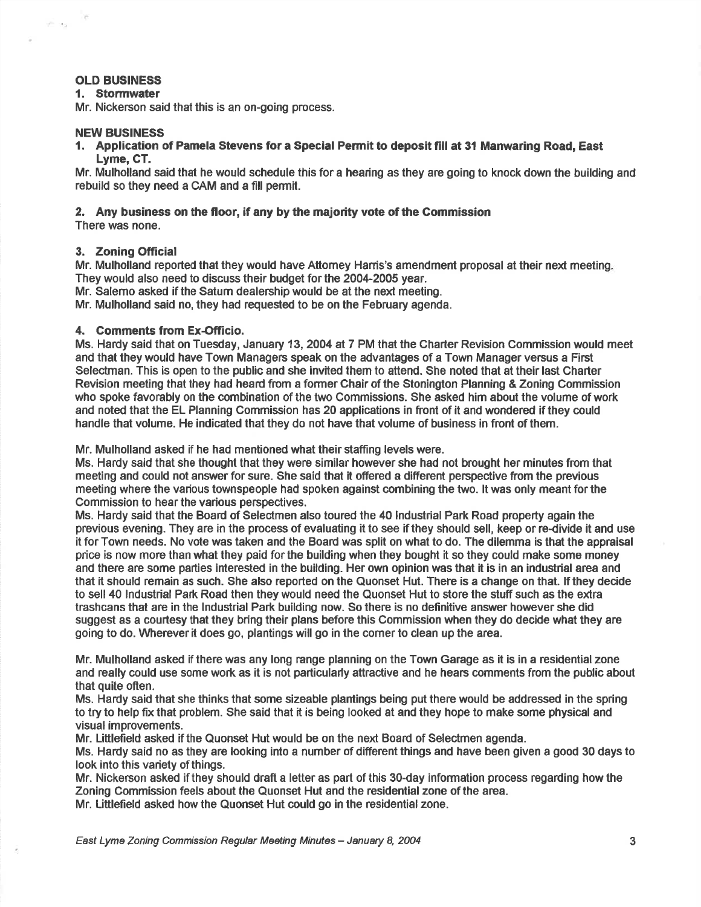# OLD BUSINESS

village.

## 1. Stormwater

Mr. Nickerson said that this is an on-going process.

## NEW BUSINESS

1. Application of Pamela Stevens for a Special Permit to deposit fill at 3l Manwaring Road, East Lyme. CT.

Mr. Mulholland said that he would schedule this for a hearing as they are going to knock down the building and rebuild so they need a CAM and a fill permit.

# 2. Any business on the floor, if any by the majority vote of the Commission

There was none.

### 3. Zoning Ofricial

Mr. Mulholland reported that they would have Attomey Harris's amendment proposal at their next meeting. They would also need to discuss their budget forthe 2004-2005 year.

Mr. Salemo asked if the Satum dealership would be at the next meeting.

Mr. Mulholland said no, they had requested to be on the February agenda.

# 4. Comments from Ex-Officio.

Ms. Hardy said that on Tuesday, January 13,2004 at 7 PM that the Charter Revision Commission would meet and that they would have Town Managers speak on the advantages of a Town Manager versus a First Selectman. This is open to the public and she invited them to attend. She noted that at their last Charter Revision meeting that they had heard from a former Chair of the Stonington Planning & Zoning Gommission who spoke favorably on the combination of the two Commissions. She asked him about the volume of work and noted that the EL Planning Commission has 20 applications in front of it and wondered if they could handle that volume. He indicated that they do not have that volume of business in front of them.

Mr. Mulholland asked if he had mentioned what their staffing levels were.

Ms. Hardy said that she thought that they were similar however she had not brought her minutes from that meeting and could not answer for sure. She said that it offered a different perspective from the previous meeting where the various townspeople had spoken against combining the two. lt was only meant forthe Commission to hear the various perspectives.

Ms. Hardy said that the Board of Selectmen also toured the 40 lndustrial Park Road property again the previous evening. They are in the process of evaluating it to see if they should sell, keep or re-divide it and use it forTown needs. No vote was taken and the Board was split on what to do. The dilemma is that the appraisal price is now more than what they paid forthe building when they bought it so they could make some money and there are some parties interested in the building. Her own opinion was that it is in an industrial area and that it should remain as such. She also reported on the Quonset Hut. There is a change on that. lf they decide to sell 40 Industrial Park Road then they would need the Quonset Hut to store the stuff such as the extra trashcans that are in the lndustrial Park building now. So there is no definitive answer however she did suggest as a courtesy that they bring their plans before this Commission when they do decide what they are going to do. Wherever it does go, plantings will go in the comer to clean up the area.

Mr. Mulholland asked if there was any long range planning on the Town Garage as it is in a residential zone and really could use some work as it is not particularly attractive and he hears comments from the public about that quite often.

Ms. Hardy said that she thinks that some sizeable plantings being put there would be addressed in the spring to try to help fix that problem. She said that it is being looked at and they hope to make some physical and visual improvements.

Mr. Littlefield asked if the Quonset Hut would be on the next Board of Selectmen agenda.

Ms. Hardy said no as they are looking into a number of different things and have been given a good 30 days to look into this variety of things.

Mr. Nickerson asked if they should draft a letter as part of this 30-day information process regarding how the Zoning Commission feels about the Quonset Hut and the residential zone of the area. Mr. Littlefield asked how the Quonset Hut could go in the residential zone.